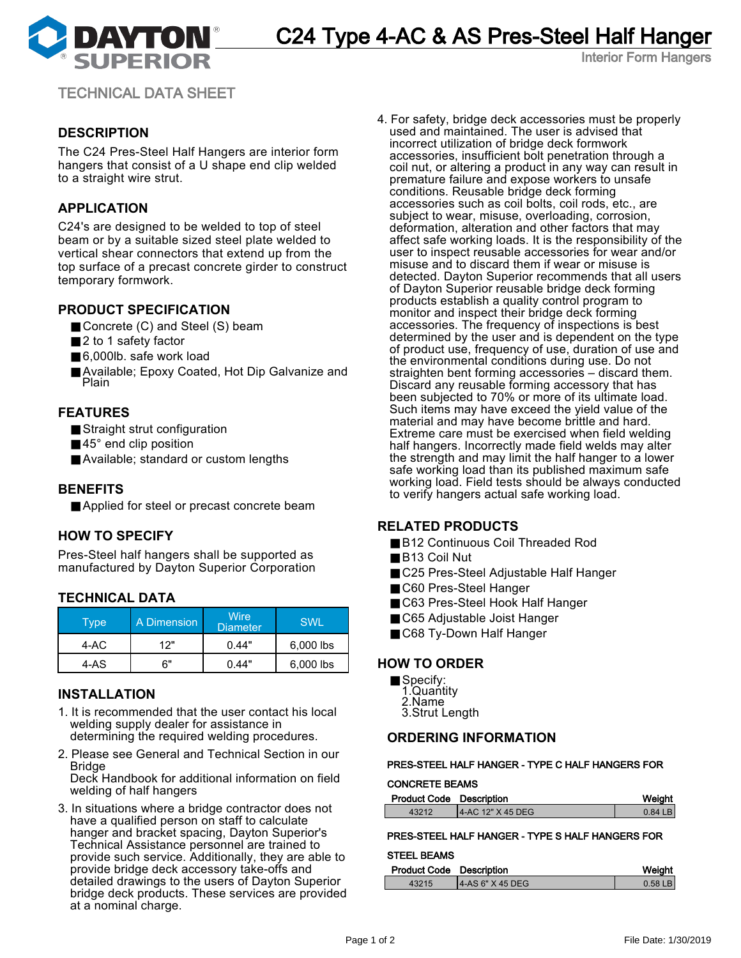

Interior Form Hangers

TECHNICAL DATA SHEET

# **DESCRIPTION**

The C24 Pres-Steel Half Hangers are interior form hangers that consist of a U shape end clip welded to a straight wire strut.

## **APPLICATION**

C24's are designed to be welded to top of steel beam or by a suitable sized steel plate welded to vertical shear connectors that extend up from the top surface of a precast concrete girder to construct temporary formwork.

### **PRODUCT SPECIFICATION**

- Concrete (C) and Steel (S) beam
- 2 to 1 safety factor
- 6,000lb. safe work load
- Available; Epoxy Coated, Hot Dip Galvanize and Plain

### **FEATURES**

- Straight strut configuration
- 45° end clip position
- Available; standard or custom lengths

### **BENEFITS**

■ Applied for steel or precast concrete beam

### **HOW TO SPECIFY**

Pres-Steel half hangers shall be supported as manufactured by Dayton Superior Corporation

# **TECHNICAL DATA**

| Type | A Dimension | Wire<br><b>Diameter</b> | <b>SWL</b> |
|------|-------------|-------------------------|------------|
| 4-AC | 12"         | 0.44"                   | 6,000 lbs  |
| 4-AS | հ"          | 0.44"                   | 6,000 lbs  |

### **INSTALLATION**

- 1. It is recommended that the user contact his local welding supply dealer for assistance in determining the required welding procedures.
- 2. Please see General and Technical Section in our Bridge Deck Handbook for additional information on field

welding of half hangers

3. In situations where a bridge contractor does not have a qualified person on staff to calculate hanger and bracket spacing, Dayton Superior's Technical Assistance personnel are trained to provide such service. Additionally, they are able to provide bridge deck accessory take-offs and detailed drawings to the users of Dayton Superior bridge deck products. These services are provided at a nominal charge.

4. For safety, bridge deck accessories must be properly used and maintained. The user is advised that incorrect utilization of bridge deck formwork accessories, insufficient bolt penetration through a coil nut, or altering a product in any way can result in premature failure and expose workers to unsafe conditions. Reusable bridge deck forming accessories such as coil bolts, coil rods, etc., are subject to wear, misuse, overloading, corrosion, deformation, alteration and other factors that may affect safe working loads. It is the responsibility of the user to inspect reusable accessories for wear and/or misuse and to discard them if wear or misuse is detected. Dayton Superior recommends that all users of Dayton Superior reusable bridge deck forming products establish a quality control program to monitor and inspect their bridge deck forming accessories. The frequency of inspections is best determined by the user and is dependent on the type of product use, frequency of use, duration of use and the environmental conditions during use. Do not straighten bent forming accessories – discard them. Discard any reusable forming accessory that has been subjected to 70% or more of its ultimate load. Such items may have exceed the yield value of the material and may have become brittle and hard. Extreme care must be exercised when field welding half hangers. Incorrectly made field welds may alter the strength and may limit the half hanger to a lower safe working load than its published maximum safe working load. Field tests should be always conducted to verify hangers actual safe working load.

### **RELATED PRODUCTS**

- B12 Continuous Coil Threaded Rod
- B13 Coil Nut
- C25 Pres-Steel Adjustable Half Hanger
- C60 Pres-Steel Hanger
- C63 Pres-Steel Hook Half Hanger
- C65 Adjustable Joist Hanger
- C68 Ty-Down Half Hanger

#### **HOW TO ORDER**

- Specify:
- 1.Quantity
- 2.Name 3.Strut Length

### **ORDERING INFORMATION**

### PRES-STEEL HALF HANGER - TYPE C HALF HANGERS FOR

#### CONCRETE BEAMS

| <b>Product Code Description</b> |                       | Weight    |
|---------------------------------|-----------------------|-----------|
| 43212                           | $14$ -AC 12" X 45 DEG | $0.84$ LB |

### PRES-STEEL HALF HANGER - TYPE S HALF HANGERS FOR

#### STEEL BEAMS

| <b>Product Code Description</b> |                   | Weight    |
|---------------------------------|-------------------|-----------|
| 43215                           | 14-AS 6" X 45 DEG | $0.58$ LB |